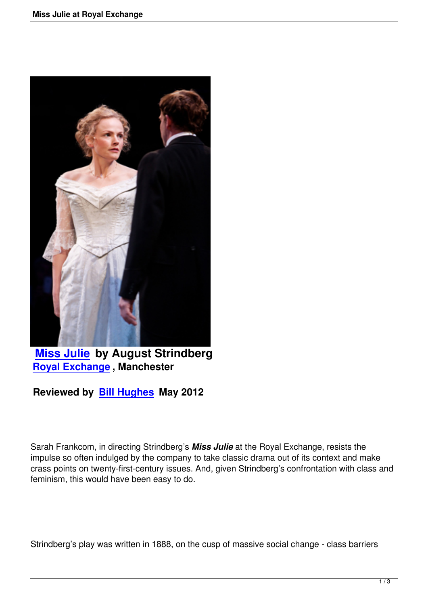

**Miss Julie by August Strindberg Royal Exchange , Manchester**

**[Reviewed by](miss-julie-royal-exchange.html) Bill Hughes May 2012**

Sarah Frankcom, in directing Strindberg's *Miss Julie* at the Royal Exchange, resists the impulse so often indulged by the company to take classic drama out of its context and make crass points on twenty-first-century issues. And, given Strindberg's confrontation with class and feminism, this would have been easy to do.

Strindberg's play was written in 1888, on the cusp of massive social change - class barriers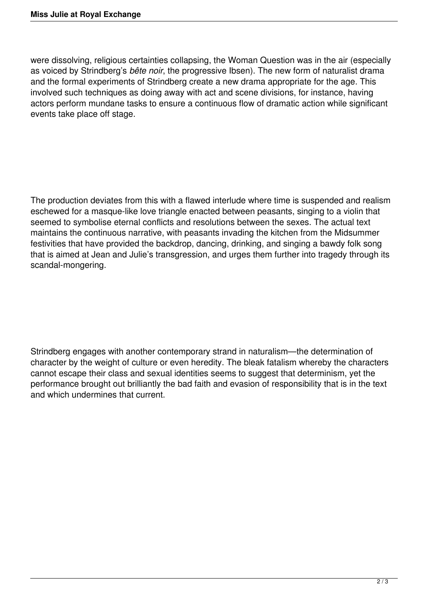were dissolving, religious certainties collapsing, the Woman Question was in the air (especially as voiced by Strindberg's *bête noir*, the progressive Ibsen). The new form of naturalist drama and the formal experiments of Strindberg create a new drama appropriate for the age. This involved such techniques as doing away with act and scene divisions, for instance, having actors perform mundane tasks to ensure a continuous flow of dramatic action while significant events take place off stage.

The production deviates from this with a flawed interlude where time is suspended and realism eschewed for a masque-like love triangle enacted between peasants, singing to a violin that seemed to symbolise eternal conflicts and resolutions between the sexes. The actual text maintains the continuous narrative, with peasants invading the kitchen from the Midsummer festivities that have provided the backdrop, dancing, drinking, and singing a bawdy folk song that is aimed at Jean and Julie's transgression, and urges them further into tragedy through its scandal-mongering.

Strindberg engages with another contemporary strand in naturalism—the determination of character by the weight of culture or even heredity. The bleak fatalism whereby the characters cannot escape their class and sexual identities seems to suggest that determinism, yet the performance brought out brilliantly the bad faith and evasion of responsibility that is in the text and which undermines that current.